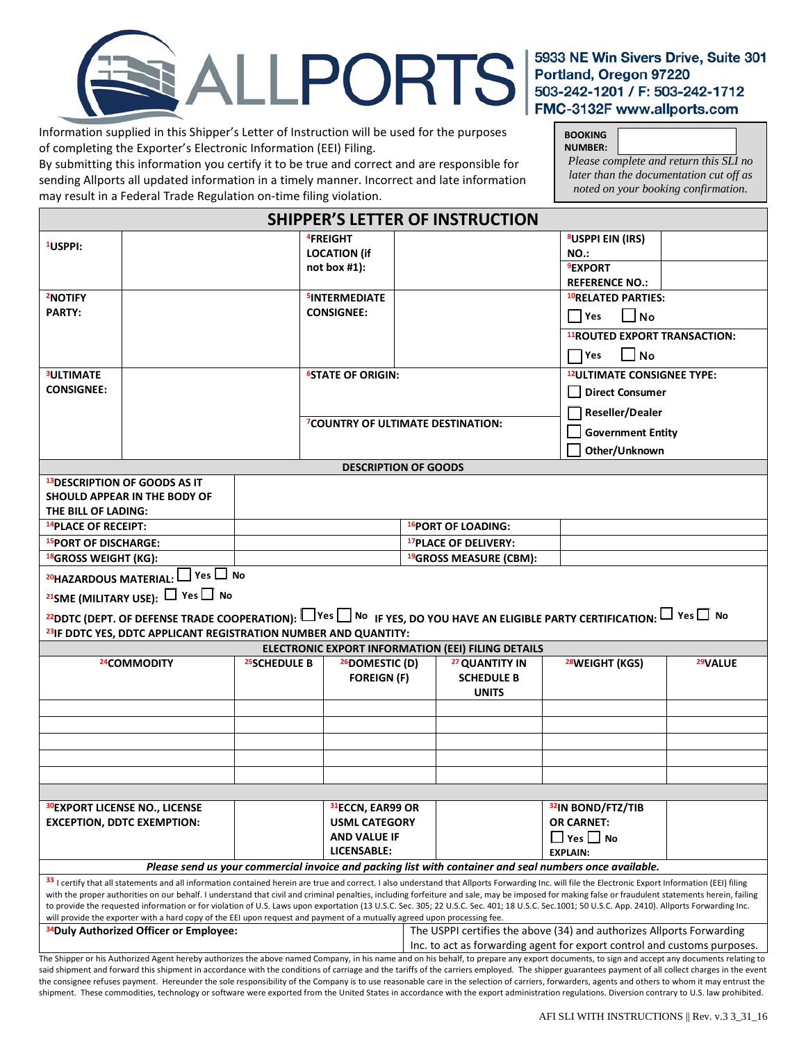

Information supplied in this Shipper's Letter of Instruction will be used for the purposes of completing the Exporter's Electronic Information (EEI) Filing.

By submitting this information you certify it to be true and correct and are responsible for sending Allports all updated information in a timely manner. Incorrect and late information may result in a Federal Trade Regulation on-time filing violation.

**BOOKING NUMBER:**  *Please complete and return this SLI no later than the documentation cut off as noted on your booking confirmation.*

|                                       |                                                                          |                                                               | <b>SHIPPER'S LETTER OF INSTRUCTION</b>   |                                                                                                                                  |  |
|---------------------------------------|--------------------------------------------------------------------------|---------------------------------------------------------------|------------------------------------------|----------------------------------------------------------------------------------------------------------------------------------|--|
| <sup>1</sup> USPPI:                   |                                                                          | <sup>4</sup> FREIGHT<br><b>LOCATION (if</b><br>not box $#1$ : |                                          | <sup>8</sup> USPPI EIN (IRS)<br>NO.:<br><b>9EXPORT</b><br><b>REFERENCE NO.:</b>                                                  |  |
| <sup>2</sup> NOTIFY<br><b>PARTY:</b>  |                                                                          | <b>SINTERMEDIATE</b><br><b>CONSIGNEE:</b>                     |                                          | 10RELATED PARTIES:<br>$\Box$ No<br><b>Nes</b><br><sup>11</sup> ROUTED EXPORT TRANSACTION:<br>$\Box$ No<br><b>TYes</b>            |  |
| <b>3ULTIMATE</b><br><b>CONSIGNEE:</b> |                                                                          | <b><sup>6</sup>STATE OF ORIGIN:</b>                           | <b>7COUNTRY OF ULTIMATE DESTINATION:</b> | <sup>12</sup> ULTIMATE CONSIGNEE TYPE:<br><b>Direct Consumer</b><br>Reseller/Dealer<br><b>Government Entity</b><br>Other/Unknown |  |
|                                       |                                                                          |                                                               | <b>DESCRIPTION OF GOODS</b>              |                                                                                                                                  |  |
| THE BILL OF LADING:                   | <sup>13</sup> DESCRIPTION OF GOODS AS IT<br>SHOULD APPEAR IN THE BODY OF |                                                               |                                          |                                                                                                                                  |  |
| <sup>14</sup> PLACE OF RECEIPT:       |                                                                          |                                                               | <sup>16</sup> PORT OF LOADING:           |                                                                                                                                  |  |
| <sup>15</sup> PORT OF DISCHARGE:      |                                                                          |                                                               | <sup>17</sup> PLACE OF DELIVERY:         |                                                                                                                                  |  |
| <sup>18</sup> GROSS WEIGHT (KG):      |                                                                          |                                                               | <sup>19</sup> GROSS MEASURE (CBM):       |                                                                                                                                  |  |
|                                       | 20HAZARDOUS MATERIAL: Ves No<br>21SME (MILITARY USE): T Yes T No         |                                                               |                                          |                                                                                                                                  |  |

| <sup>22</sup> DDTC (DEPT. OF DEFENSE TRADE COOPERATION): $\Box$ Yes $\Box$ No if yes, do you have an eligible party certification: $\Box$ Yes $\Box$ No |  |  |  |  |  |  |  |
|---------------------------------------------------------------------------------------------------------------------------------------------------------|--|--|--|--|--|--|--|
| <sup>23</sup> IF DDTC YES, DDTC APPLICANT REGISTRATION NUMBER AND QUANTITY:                                                                             |  |  |  |  |  |  |  |
| <b>FLECTRONIC EXPORT INFORMATION (FEI) FILING DETAILS</b>                                                                                               |  |  |  |  |  |  |  |

| ELECTRONIC EXPORT INFORMATION (EEI) FILING DETAILS                                                                                                                                                   |               |                                                                          |                                                                       |                               |                     |  |  |  |  |
|------------------------------------------------------------------------------------------------------------------------------------------------------------------------------------------------------|---------------|--------------------------------------------------------------------------|-----------------------------------------------------------------------|-------------------------------|---------------------|--|--|--|--|
| <sup>24</sup> COMMODITY                                                                                                                                                                              | 25 SCHEDULE B | <sup>26</sup> DOMESTIC (D)                                               | <sup>27</sup> QUANTITY IN                                             | <sup>28</sup> WEIGHT (KGS)    | <sup>29</sup> VALUE |  |  |  |  |
|                                                                                                                                                                                                      |               | <b>FOREIGN (F)</b>                                                       | <b>SCHEDULE B</b>                                                     |                               |                     |  |  |  |  |
|                                                                                                                                                                                                      |               |                                                                          | <b>UNITS</b>                                                          |                               |                     |  |  |  |  |
|                                                                                                                                                                                                      |               |                                                                          |                                                                       |                               |                     |  |  |  |  |
|                                                                                                                                                                                                      |               |                                                                          |                                                                       |                               |                     |  |  |  |  |
|                                                                                                                                                                                                      |               |                                                                          |                                                                       |                               |                     |  |  |  |  |
|                                                                                                                                                                                                      |               |                                                                          |                                                                       |                               |                     |  |  |  |  |
|                                                                                                                                                                                                      |               |                                                                          |                                                                       |                               |                     |  |  |  |  |
|                                                                                                                                                                                                      |               |                                                                          |                                                                       |                               |                     |  |  |  |  |
| <b>30EXPORT LICENSE NO., LICENSE</b>                                                                                                                                                                 |               | 31ECCN, EAR99 OR                                                         |                                                                       | <sup>32</sup> IN BOND/FTZ/TIB |                     |  |  |  |  |
| <b>EXCEPTION, DDTC EXEMPTION:</b>                                                                                                                                                                    |               | <b>USML CATEGORY</b>                                                     |                                                                       | <b>OR CARNET:</b>             |                     |  |  |  |  |
|                                                                                                                                                                                                      |               | <b>AND VALUE IF</b>                                                      |                                                                       | $\Box$ Yes $\Box$ No          |                     |  |  |  |  |
|                                                                                                                                                                                                      |               | LICENSABLE:                                                              |                                                                       | <b>EXPLAIN:</b>               |                     |  |  |  |  |
| Please send us your commercial invoice and packing list with container and seal numbers once available.                                                                                              |               |                                                                          |                                                                       |                               |                     |  |  |  |  |
| 33 I certify that all statements and all information contained herein are true and correct. I also understand that Allports Forwarding Inc. will file the Electronic Export Information (EEI) filing |               |                                                                          |                                                                       |                               |                     |  |  |  |  |
| with the proper authorities on our behalf. I understand that civil and criminal penalties, including forfeiture and sale, may be imposed for making false or fraudulent statements herein, failing   |               |                                                                          |                                                                       |                               |                     |  |  |  |  |
| to provide the requested information or for violation of U.S. Laws upon exportation (13 U.S.C. Sec. 305; 22 U.S.C. Sec. 401; 18 U.S.C. Sec.1001; 50 U.S.C. App. 2410). Allports Forwarding Inc.      |               |                                                                          |                                                                       |                               |                     |  |  |  |  |
| will provide the exporter with a hard copy of the EEI upon request and payment of a mutually agreed upon processing fee.                                                                             |               |                                                                          |                                                                       |                               |                     |  |  |  |  |
| <sup>34</sup> Duly Authorized Officer or Employee:                                                                                                                                                   |               |                                                                          | The USPPI certifies the above (34) and authorizes Allports Forwarding |                               |                     |  |  |  |  |
|                                                                                                                                                                                                      |               | Inc. to act as forwarding agent for export control and customs purposes. |                                                                       |                               |                     |  |  |  |  |
| The Shipper or his Authorized Agent hereby authorizes the above named Company, in his name and on his behalf, to prepare any export documents, to sign and accept any documents relating to          |               |                                                                          |                                                                       |                               |                     |  |  |  |  |

The Shipper or his Authorized Agent hereby authorizes the above named Company, in his name and on his behalf, to prepare any export documents, to sign and accept any documents relating to said shipment and forward this shipment in accordance with the conditions of carriage and the tariffs of the carriers employed. The shipper guarantees payment of all collect charges in the event the consignee refuses payment. Hereunder the sole responsibility of the Company is to use reasonable care in the selection of carriers, forwarders, agents and others to whom it may entrust the shipment. These commodities, technology or software were exported from the United States in accordance with the export administration regulations. Diversion contrary to U.S. law prohibited.